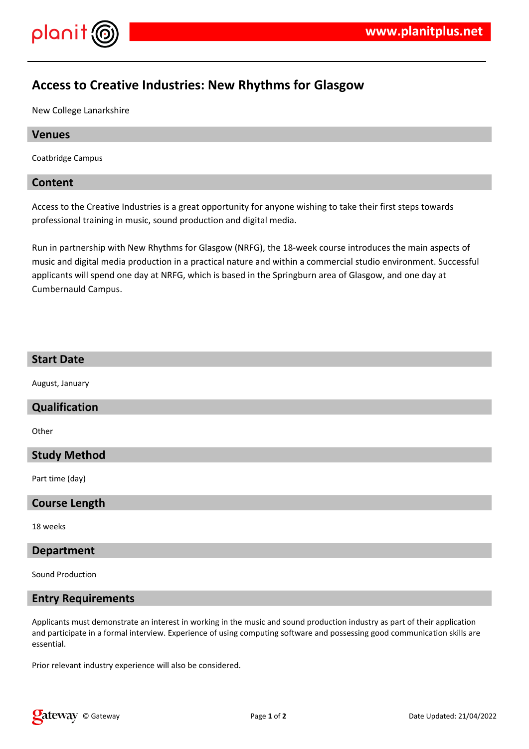

# **Access to Creative Industries: New Rhythms for Glasgow**

New College Lanarkshire

# **Venues**

Coatbridge Campus

# **Content**

Access to the Creative Industries is a great opportunity for anyone wishing to take their first steps towards professional training in music, sound production and digital media.

Run in partnership with New Rhythms for Glasgow (NRFG), the 18-week course introduces the main aspects of music and digital media production in a practical nature and within a commercial studio environment. Successful applicants will spend one day at NRFG, which is based in the Springburn area of Glasgow, and one day at Cumbernauld Campus.

# **Start Date**

August, January

#### **Qualification**

**Other** 

# **Study Method**

Part time (day)

#### **Course Length**

18 weeks

#### **Department**

Sound Production

#### **Entry Requirements**

Applicants must demonstrate an interest in working in the music and sound production industry as part of their application and participate in a formal interview. Experience of using computing software and possessing good communication skills are essential.

Prior relevant industry experience will also be considered.

**Q** at EWAY © Gateway **Page 1** of 2 **Date Updated: 21/04/2022**